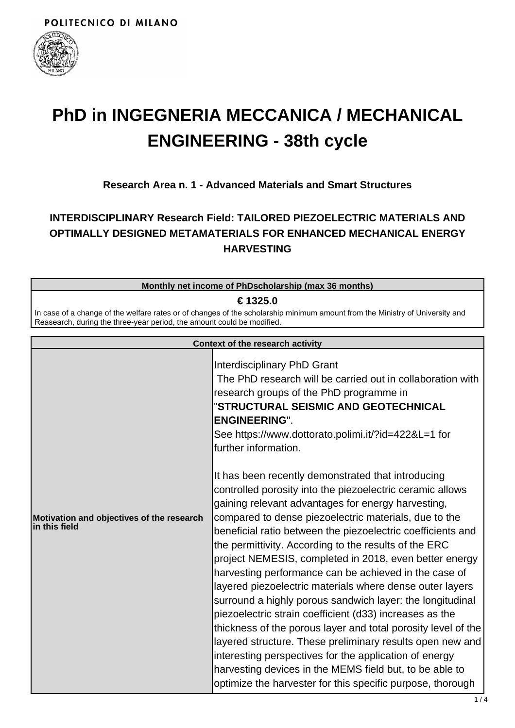

# **PhD in INGEGNERIA MECCANICA / MECHANICAL ENGINEERING - 38th cycle**

## **Research Area n. 1 - Advanced Materials and Smart Structures**

# **INTERDISCIPLINARY Research Field: TAILORED PIEZOELECTRIC MATERIALS AND OPTIMALLY DESIGNED METAMATERIALS FOR ENHANCED MECHANICAL ENERGY HARVESTING**

#### **Monthly net income of PhDscholarship (max 36 months)**

#### **€ 1325.0**

In case of a change of the welfare rates or of changes of the scholarship minimum amount from the Ministry of University and Reasearch, during the three-year period, the amount could be modified.

| <b>Context of the research activity</b>                    |                                                                                                                                                                                                                                                                                                                                                                                                                                                                                                                                                                                                                                                                                                                                                                                                                                                                                                                                                                                |
|------------------------------------------------------------|--------------------------------------------------------------------------------------------------------------------------------------------------------------------------------------------------------------------------------------------------------------------------------------------------------------------------------------------------------------------------------------------------------------------------------------------------------------------------------------------------------------------------------------------------------------------------------------------------------------------------------------------------------------------------------------------------------------------------------------------------------------------------------------------------------------------------------------------------------------------------------------------------------------------------------------------------------------------------------|
|                                                            | Interdisciplinary PhD Grant<br>The PhD research will be carried out in collaboration with<br>research groups of the PhD programme in<br>"STRUCTURAL SEISMIC AND GEOTECHNICAL<br><b>ENGINEERING".</b><br>See https://www.dottorato.polimi.it/?id=422&L=1 for<br>further information.                                                                                                                                                                                                                                                                                                                                                                                                                                                                                                                                                                                                                                                                                            |
| Motivation and objectives of the research<br>in this field | It has been recently demonstrated that introducing<br>controlled porosity into the piezoelectric ceramic allows<br>gaining relevant advantages for energy harvesting,<br>compared to dense piezoelectric materials, due to the<br>beneficial ratio between the piezoelectric coefficients and<br>the permittivity. According to the results of the ERC<br>project NEMESIS, completed in 2018, even better energy<br>harvesting performance can be achieved in the case of<br>layered piezoelectric materials where dense outer layers<br>surround a highly porous sandwich layer: the longitudinal<br>piezoelectric strain coefficient (d33) increases as the<br>thickness of the porous layer and total porosity level of the<br>layered structure. These preliminary results open new and<br>interesting perspectives for the application of energy<br>harvesting devices in the MEMS field but, to be able to<br>optimize the harvester for this specific purpose, thorough |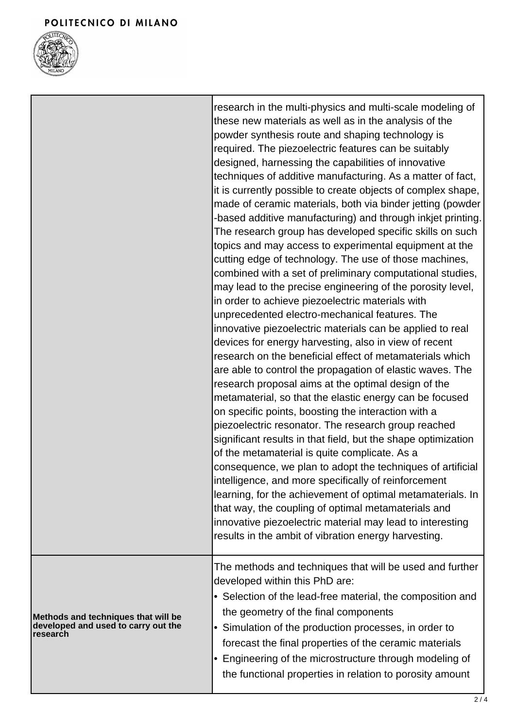┓



|                                                                                        | research in the multi-physics and multi-scale modeling of<br>these new materials as well as in the analysis of the<br>powder synthesis route and shaping technology is<br>required. The piezoelectric features can be suitably<br>designed, harnessing the capabilities of innovative<br>techniques of additive manufacturing. As a matter of fact,<br>it is currently possible to create objects of complex shape,<br>made of ceramic materials, both via binder jetting (powder<br>-based additive manufacturing) and through inkjet printing.<br>The research group has developed specific skills on such<br>topics and may access to experimental equipment at the<br>cutting edge of technology. The use of those machines,<br>combined with a set of preliminary computational studies,<br>may lead to the precise engineering of the porosity level,<br>in order to achieve piezoelectric materials with<br>unprecedented electro-mechanical features. The<br>innovative piezoelectric materials can be applied to real<br>devices for energy harvesting, also in view of recent<br>research on the beneficial effect of metamaterials which<br>are able to control the propagation of elastic waves. The<br>research proposal aims at the optimal design of the<br>metamaterial, so that the elastic energy can be focused<br>on specific points, boosting the interaction with a<br>piezoelectric resonator. The research group reached<br>significant results in that field, but the shape optimization<br>of the metamaterial is quite complicate. As a<br>consequence, we plan to adopt the techniques of artificial<br>intelligence, and more specifically of reinforcement<br>learning, for the achievement of optimal metamaterials. In<br>that way, the coupling of optimal metamaterials and<br>innovative piezoelectric material may lead to interesting<br>results in the ambit of vibration energy harvesting. |
|----------------------------------------------------------------------------------------|------------------------------------------------------------------------------------------------------------------------------------------------------------------------------------------------------------------------------------------------------------------------------------------------------------------------------------------------------------------------------------------------------------------------------------------------------------------------------------------------------------------------------------------------------------------------------------------------------------------------------------------------------------------------------------------------------------------------------------------------------------------------------------------------------------------------------------------------------------------------------------------------------------------------------------------------------------------------------------------------------------------------------------------------------------------------------------------------------------------------------------------------------------------------------------------------------------------------------------------------------------------------------------------------------------------------------------------------------------------------------------------------------------------------------------------------------------------------------------------------------------------------------------------------------------------------------------------------------------------------------------------------------------------------------------------------------------------------------------------------------------------------------------------------------------------------------------------------------------------------------------------------------------------------------------|
| Methods and techniques that will be<br>developed and used to carry out the<br>research | The methods and techniques that will be used and further<br>developed within this PhD are:<br>• Selection of the lead-free material, the composition and<br>the geometry of the final components<br>• Simulation of the production processes, in order to<br>forecast the final properties of the ceramic materials<br>• Engineering of the microstructure through modeling of<br>the functional properties in relation to porosity amount                                                                                                                                                                                                                                                                                                                                                                                                                                                                                                                                                                                                                                                                                                                                                                                                                                                                                                                                                                                                                                                                                                                                                                                                                                                                                                                                                                                                                                                                                         |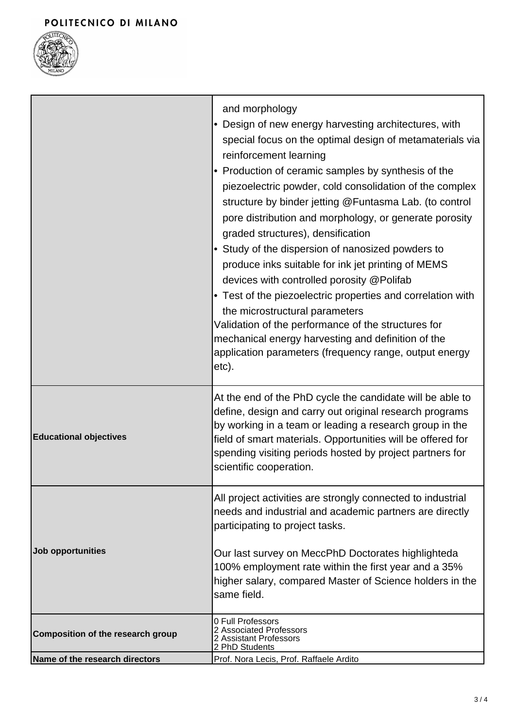# POLITECNICO DI MILANO



|                                   | and morphology<br>• Design of new energy harvesting architectures, with<br>special focus on the optimal design of metamaterials via<br>reinforcement learning<br>• Production of ceramic samples by synthesis of the<br>piezoelectric powder, cold consolidation of the complex<br>structure by binder jetting @Funtasma Lab. (to control<br>pore distribution and morphology, or generate porosity<br>graded structures), densification<br>• Study of the dispersion of nanosized powders to<br>produce inks suitable for ink jet printing of MEMS<br>devices with controlled porosity @Polifab<br>• Test of the piezoelectric properties and correlation with<br>the microstructural parameters<br>Validation of the performance of the structures for<br>mechanical energy harvesting and definition of the<br>application parameters (frequency range, output energy<br>etc). |
|-----------------------------------|-----------------------------------------------------------------------------------------------------------------------------------------------------------------------------------------------------------------------------------------------------------------------------------------------------------------------------------------------------------------------------------------------------------------------------------------------------------------------------------------------------------------------------------------------------------------------------------------------------------------------------------------------------------------------------------------------------------------------------------------------------------------------------------------------------------------------------------------------------------------------------------|
| <b>Educational objectives</b>     | At the end of the PhD cycle the candidate will be able to<br>define, design and carry out original research programs<br>by working in a team or leading a research group in the<br>field of smart materials. Opportunities will be offered for<br>spending visiting periods hosted by project partners for<br>scientific cooperation.                                                                                                                                                                                                                                                                                                                                                                                                                                                                                                                                             |
| Job opportunities                 | All project activities are strongly connected to industrial<br>needs and industrial and academic partners are directly<br>participating to project tasks.<br>Our last survey on MeccPhD Doctorates highlighteda<br>100% employment rate within the first year and a 35%<br>higher salary, compared Master of Science holders in the<br>same field.                                                                                                                                                                                                                                                                                                                                                                                                                                                                                                                                |
| Composition of the research group | 0 Full Professors<br>2 Associated Professors<br>2 Assistant Professors<br>2 PhD Students                                                                                                                                                                                                                                                                                                                                                                                                                                                                                                                                                                                                                                                                                                                                                                                          |
| Name of the research directors    | Prof. Nora Lecis, Prof. Raffaele Ardito                                                                                                                                                                                                                                                                                                                                                                                                                                                                                                                                                                                                                                                                                                                                                                                                                                           |